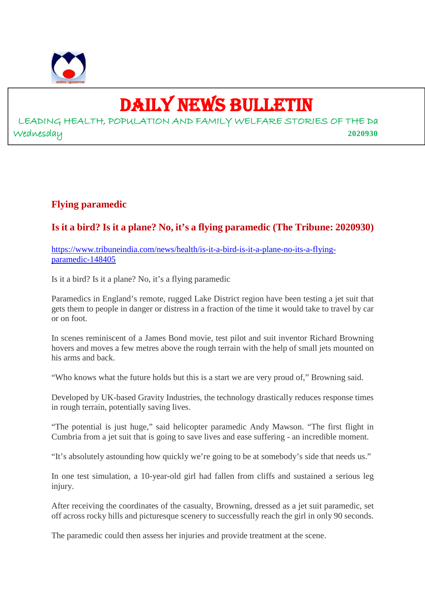

## DAILY NEWS BULLETIN

LEADING HEALTH, POPULATION AND FAMILY WELFARE STORIES OF THE Da Wednesday **2020930**

#### **Flying paramedic**

#### **Is it a bird? Is it a plane? No, it's a flying paramedic (The Tribune: 2020930)**

https://www.tribuneindia.com/news/health/is-it-a-bird-is-it-a-plane-no-its-a-flyingparamedic-148405

Is it a bird? Is it a plane? No, it's a flying paramedic

Paramedics in England's remote, rugged Lake District region have been testing a jet suit that gets them to people in danger or distress in a fraction of the time it would take to travel by car or on foot.

In scenes reminiscent of a James Bond movie, test pilot and suit inventor Richard Browning hovers and moves a few metres above the rough terrain with the help of small jets mounted on his arms and back.

"Who knows what the future holds but this is a start we are very proud of," Browning said.

Developed by UK-based Gravity Industries, the technology drastically reduces response times in rough terrain, potentially saving lives.

"The potential is just huge," said helicopter paramedic Andy Mawson. "The first flight in Cumbria from a jet suit that is going to save lives and ease suffering - an incredible moment.

"It's absolutely astounding how quickly we're going to be at somebody's side that needs us."

In one test simulation, a 10-year-old girl had fallen from cliffs and sustained a serious leg injury.

After receiving the coordinates of the casualty, Browning, dressed as a jet suit paramedic, set off across rocky hills and picturesque scenery to successfully reach the girl in only 90 seconds.

The paramedic could then assess her injuries and provide treatment at the scene.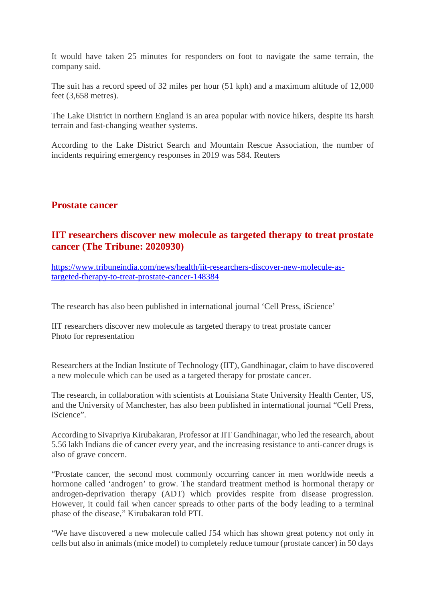It would have taken 25 minutes for responders on foot to navigate the same terrain, the company said.

The suit has a record speed of 32 miles per hour (51 kph) and a maximum altitude of 12,000 feet (3,658 metres).

The Lake District in northern England is an area popular with novice hikers, despite its harsh terrain and fast-changing weather systems.

According to the Lake District Search and Mountain Rescue Association, the number of incidents requiring emergency responses in 2019 was 584. Reuters

#### **Prostate cancer**

#### **IIT researchers discover new molecule as targeted therapy to treat prostate cancer (The Tribune: 2020930)**

https://www.tribuneindia.com/news/health/iit-researchers-discover-new-molecule-astargeted-therapy-to-treat-prostate-cancer-148384

The research has also been published in international journal 'Cell Press, iScience'

IIT researchers discover new molecule as targeted therapy to treat prostate cancer Photo for representation

Researchers at the Indian Institute of Technology (IIT), Gandhinagar, claim to have discovered a new molecule which can be used as a targeted therapy for prostate cancer.

The research, in collaboration with scientists at Louisiana State University Health Center, US, and the University of Manchester, has also been published in international journal "Cell Press, iScience".

According to Sivapriya Kirubakaran, Professor at IIT Gandhinagar, who led the research, about 5.56 lakh Indians die of cancer every year, and the increasing resistance to anti-cancer drugs is also of grave concern.

"Prostate cancer, the second most commonly occurring cancer in men worldwide needs a hormone called 'androgen' to grow. The standard treatment method is hormonal therapy or androgen-deprivation therapy (ADT) which provides respite from disease progression. However, it could fail when cancer spreads to other parts of the body leading to a terminal phase of the disease," Kirubakaran told PTI.

"We have discovered a new molecule called J54 which has shown great potency not only in cells but also in animals (mice model) to completely reduce tumour (prostate cancer) in 50 days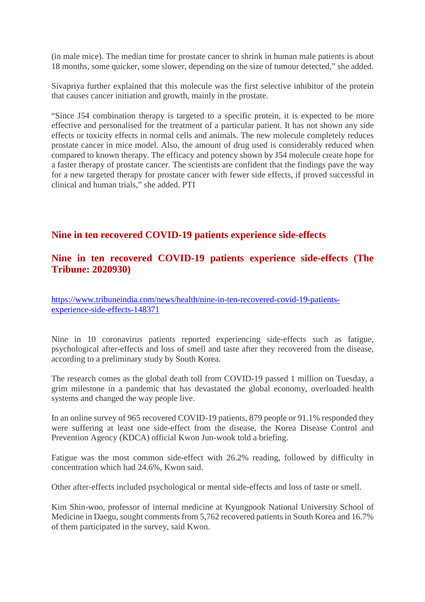(in male mice). The median time for prostate cancer to shrink in human male patients is about 18 months, some quicker, some slower, depending on the size of tumour detected," she added.

Sivapriya further explained that this molecule was the first selective inhibitor of the protein that causes cancer initiation and growth, mainly in the prostate.

"Since J54 combination therapy is targeted to a specific protein, it is expected to be more effective and personalised for the treatment of a particular patient. It has not shown any side effects or toxicity effects in normal cells and animals. The new molecule completely reduces prostate cancer in mice model. Also, the amount of drug used is considerably reduced when compared to known therapy. The efficacy and potency shown by J54 molecule create hope for a faster therapy of prostate cancer. The scientists are confident that the findings pave the way for a new targeted therapy for prostate cancer with fewer side effects, if proved successful in clinical and human trials," she added. PTI

#### **Nine in ten recovered COVID-19 patients experience side-effects**

#### **Nine in ten recovered COVID-19 patients experience side-effects (The Tribune: 2020930)**

https://www.tribuneindia.com/news/health/nine-in-ten-recovered-covid-19-patientsexperience-side-effects-148371

Nine in 10 coronavirus patients reported experiencing side-effects such as fatigue, psychological after-effects and loss of smell and taste after they recovered from the disease, according to a preliminary study by South Korea.

The research comes as the global death toll from COVID-19 passed 1 million on Tuesday, a grim milestone in a pandemic that has devastated the global economy, overloaded health systems and changed the way people live.

In an online survey of 965 recovered COVID-19 patients, 879 people or 91.1% responded they were suffering at least one side-effect from the disease, the Korea Disease Control and Prevention Agency (KDCA) official Kwon Jun-wook told a briefing.

Fatigue was the most common side-effect with 26.2% reading, followed by difficulty in concentration which had 24.6%, Kwon said.

Other after-effects included psychological or mental side-effects and loss of taste or smell.

Kim Shin-woo, professor of internal medicine at Kyungpook National University School of Medicine in Daegu, sought comments from 5,762 recovered patients in South Korea and 16.7% of them participated in the survey, said Kwon.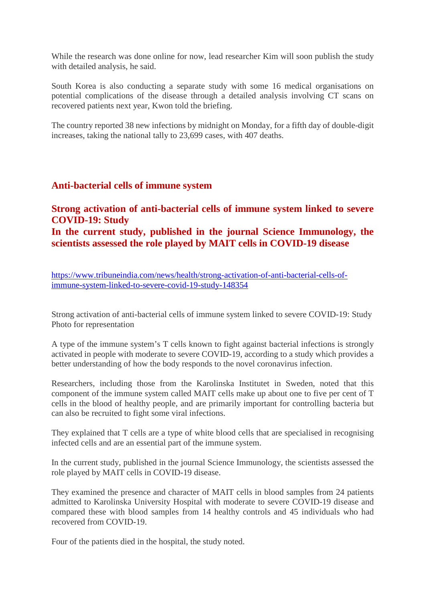While the research was done online for now, lead researcher Kim will soon publish the study with detailed analysis, he said.

South Korea is also conducting a separate study with some 16 medical organisations on potential complications of the disease through a detailed analysis involving CT scans on recovered patients next year, Kwon told the briefing.

The country reported 38 new infections by midnight on Monday, for a fifth day of double-digit increases, taking the national tally to 23,699 cases, with 407 deaths.

#### **Anti-bacterial cells of immune system**

#### **Strong activation of anti-bacterial cells of immune system linked to severe COVID-19: Study In the current study, published in the journal Science Immunology, the scientists assessed the role played by MAIT cells in COVID-19 disease**

https://www.tribuneindia.com/news/health/strong-activation-of-anti-bacterial-cells-ofimmune-system-linked-to-severe-covid-19-study-148354

Strong activation of anti-bacterial cells of immune system linked to severe COVID-19: Study Photo for representation

A type of the immune system's T cells known to fight against bacterial infections is strongly activated in people with moderate to severe COVID-19, according to a study which provides a better understanding of how the body responds to the novel coronavirus infection.

Researchers, including those from the Karolinska Institutet in Sweden, noted that this component of the immune system called MAIT cells make up about one to five per cent of T cells in the blood of healthy people, and are primarily important for controlling bacteria but can also be recruited to fight some viral infections.

They explained that T cells are a type of white blood cells that are specialised in recognising infected cells and are an essential part of the immune system.

In the current study, published in the journal Science Immunology, the scientists assessed the role played by MAIT cells in COVID-19 disease.

They examined the presence and character of MAIT cells in blood samples from 24 patients admitted to Karolinska University Hospital with moderate to severe COVID-19 disease and compared these with blood samples from 14 healthy controls and 45 individuals who had recovered from COVID-19.

Four of the patients died in the hospital, the study noted.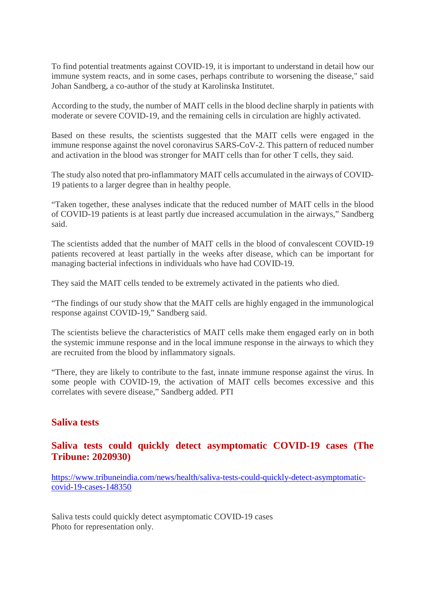To find potential treatments against COVID-19, it is important to understand in detail how our immune system reacts, and in some cases, perhaps contribute to worsening the disease," said Johan Sandberg, a co-author of the study at Karolinska Institutet.

According to the study, the number of MAIT cells in the blood decline sharply in patients with moderate or severe COVID-19, and the remaining cells in circulation are highly activated.

Based on these results, the scientists suggested that the MAIT cells were engaged in the immune response against the novel coronavirus SARS-CoV-2. This pattern of reduced number and activation in the blood was stronger for MAIT cells than for other T cells, they said.

The study also noted that pro-inflammatory MAIT cells accumulated in the airways of COVID-19 patients to a larger degree than in healthy people.

"Taken together, these analyses indicate that the reduced number of MAIT cells in the blood of COVID-19 patients is at least partly due increased accumulation in the airways," Sandberg said.

The scientists added that the number of MAIT cells in the blood of convalescent COVID-19 patients recovered at least partially in the weeks after disease, which can be important for managing bacterial infections in individuals who have had COVID-19.

They said the MAIT cells tended to be extremely activated in the patients who died.

"The findings of our study show that the MAIT cells are highly engaged in the immunological response against COVID-19," Sandberg said.

The scientists believe the characteristics of MAIT cells make them engaged early on in both the systemic immune response and in the local immune response in the airways to which they are recruited from the blood by inflammatory signals.

"There, they are likely to contribute to the fast, innate immune response against the virus. In some people with COVID-19, the activation of MAIT cells becomes excessive and this correlates with severe disease," Sandberg added. PTI

#### **Saliva tests**

#### **Saliva tests could quickly detect asymptomatic COVID-19 cases (The Tribune: 2020930)**

https://www.tribuneindia.com/news/health/saliva-tests-could-quickly-detect-asymptomaticcovid-19-cases-148350

Saliva tests could quickly detect asymptomatic COVID-19 cases Photo for representation only.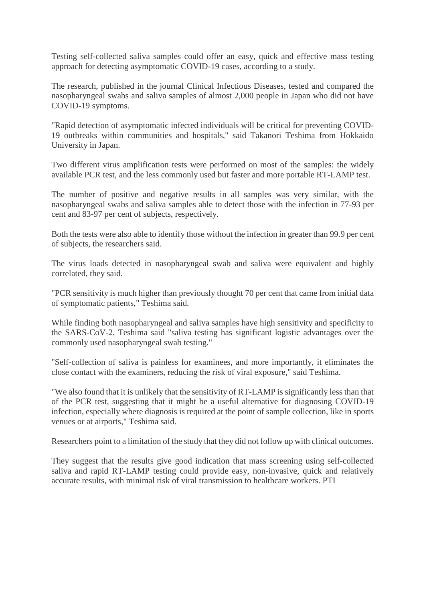Testing self-collected saliva samples could offer an easy, quick and effective mass testing approach for detecting asymptomatic COVID-19 cases, according to a study.

The research, published in the journal Clinical Infectious Diseases, tested and compared the nasopharyngeal swabs and saliva samples of almost 2,000 people in Japan who did not have COVID-19 symptoms.

"Rapid detection of asymptomatic infected individuals will be critical for preventing COVID-19 outbreaks within communities and hospitals," said Takanori Teshima from Hokkaido University in Japan.

Two different virus amplification tests were performed on most of the samples: the widely available PCR test, and the less commonly used but faster and more portable RT-LAMP test.

The number of positive and negative results in all samples was very similar, with the nasopharyngeal swabs and saliva samples able to detect those with the infection in 77-93 per cent and 83-97 per cent of subjects, respectively.

Both the tests were also able to identify those without the infection in greater than 99.9 per cent of subjects, the researchers said.

The virus loads detected in nasopharyngeal swab and saliva were equivalent and highly correlated, they said.

"PCR sensitivity is much higher than previously thought 70 per cent that came from initial data of symptomatic patients," Teshima said.

While finding both nasopharyngeal and saliva samples have high sensitivity and specificity to the SARS-CoV-2, Teshima said "saliva testing has significant logistic advantages over the commonly used nasopharyngeal swab testing."

"Self-collection of saliva is painless for examinees, and more importantly, it eliminates the close contact with the examiners, reducing the risk of viral exposure," said Teshima.

"We also found that it is unlikely that the sensitivity of RT-LAMP is significantly less than that of the PCR test, suggesting that it might be a useful alternative for diagnosing COVID-19 infection, especially where diagnosis is required at the point of sample collection, like in sports venues or at airports," Teshima said.

Researchers point to a limitation of the study that they did not follow up with clinical outcomes.

They suggest that the results give good indication that mass screening using self-collected saliva and rapid RT-LAMP testing could provide easy, non-invasive, quick and relatively accurate results, with minimal risk of viral transmission to healthcare workers. PTI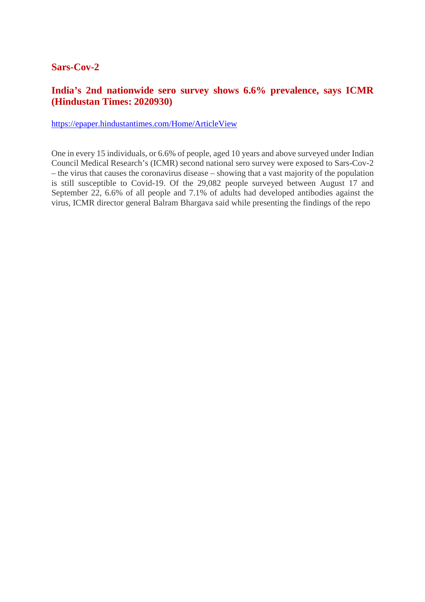#### **Sars-Cov-2**

#### **India's 2nd nationwide sero survey shows 6.6% prevalence, says ICMR (Hindustan Times: 2020930)**

https://epaper.hindustantimes.com/Home/ArticleView

One in every 15 individuals, or 6.6% of people, aged 10 years and above surveyed under Indian Council Medical Research's (ICMR) second national sero survey were exposed to Sars-Cov-2 – the virus that causes the coronavirus disease – showing that a vast majority of the population is still susceptible to Covid-19. Of the 29,082 people surveyed between August 17 and September 22, 6.6% of all people and 7.1% of adults had developed antibodies against the virus, ICMR director general Balram Bhargava said while presenting the findings of the repo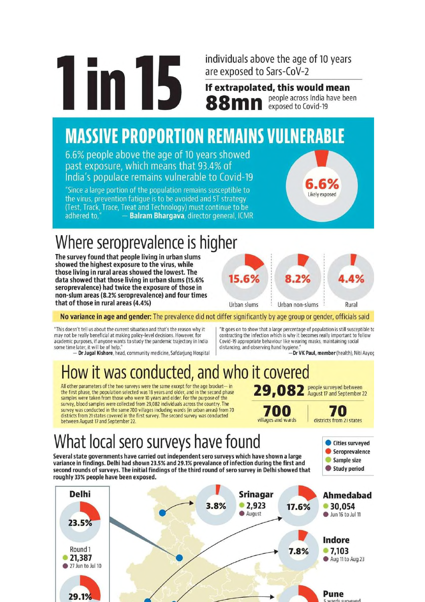individuals above the age of 10 years are exposed to Sars-CoV-2

If extrapolated, this would mean people across India have been exposed to Covid-19

## **MASSIVE PROPORTION REMAINS VULNERABLE**

6.6% people above the age of 10 years showed past exposure, which means that 93.4% of India's populace remains vulnerable to Covid-19

"Since a large portion of the population remains susceptible to the virus, prevention fatique is to be avoided and 5T strategy (Test, Track, Trace, Treat and Technology) must continue to be Balram Bhargava, director general, ICMR adhered to.

## Where seroprevalence is higher

The survey found that people living in urban slums showed the highest exposure to the virus, while those living in rural areas showed the lowest. The data showed that those living in urban slums (15.6% seroprevalence) had twice the exposure of those in non-slum areas (8.2% seroprevalence) and four times that of those in rural areas (4.4%)



Likely exposed

#### No variance in age and gender: The prevalence did not differ significantly by age group or gender, officials said

"This doesn't tell us about the current situation and that's the reason why it may not be really beneficial at making policy-level decisions. However, for academic purposes, if anyone wants to study the pandemic trajectory in India some time later, it will be of help."

- Dr Jugal Kishore, head, community medicine, Safdarjung Hospital

'It goes on to show that a large percentage of population is still susceptible to contracting the infection which is why it becomes really important to follow Covid-19 appropriate behaviour like wearing masks, maintaining social distancing, and observing hand hygiene.

-Dr VK Paul, member (health), Niti Aayog

Cities surveyed Seroprevalence

Sample size

Study period

## How it was conducted, and who it covered

All other parameters of the two surveys were the same except for the age bracket- in the first phase, the population selected was 18 years and older, and in the second phase samples were taken from those who were 10 years and older. For the purpose of the survey, blood samples were collected from 29,082 individuals across the country. The survey was conducted in the same 700 villages including wards (in urban areas) from 70 districts from 21 states covered in the first survey. The second survey was conducted between August 17 and September 22.



## What local sero surveys have found

Several state governments have carried out independent sero surveys which have shown a large variance in findings. Delhi had shown 23.5% and 29.1% prevalance of infection during the first and second rounds of surveys. The initial findings of the third round of sero survey in Delhi showed that roughly 33% people have been exposed.

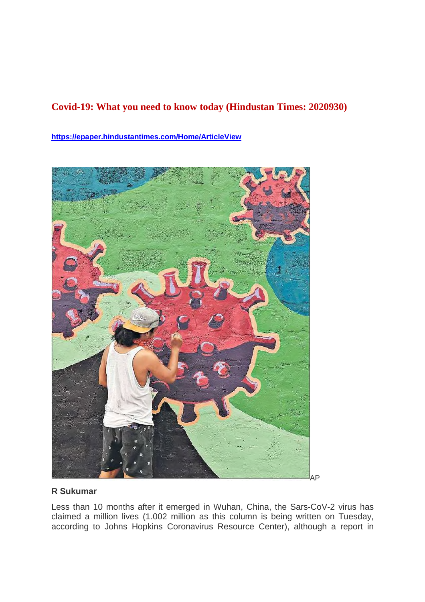#### **Covid-19: What you need to know today (Hindustan Times: 2020930)**

**https://epaper.hindustantimes.com/Home/ArticleView**



#### **R Sukumar**

Less than 10 months after it emerged in Wuhan, China, the Sars-CoV-2 virus has claimed a million lives (1.002 million as this column is being written on Tuesday, according to Johns Hopkins Coronavirus Resource Center), although a report in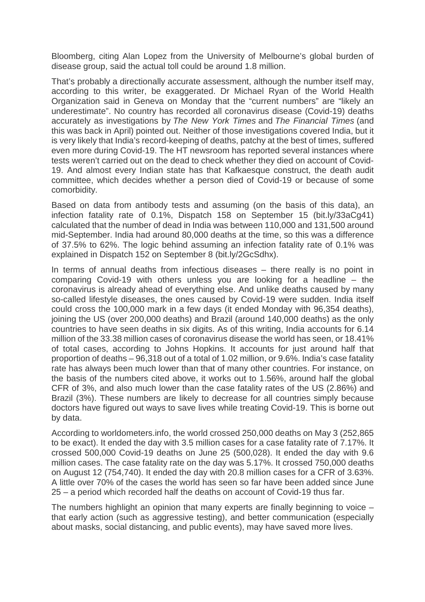Bloomberg, citing Alan Lopez from the University of Melbourne's global burden of disease group, said the actual toll could be around 1.8 million.

That's probably a directionally accurate assessment, although the number itself may, according to this writer, be exaggerated. Dr Michael Ryan of the World Health Organization said in Geneva on Monday that the "current numbers" are "likely an underestimate". No country has recorded all coronavirus disease (Covid-19) deaths accurately as investigations by *The New York Times* and *The Financial Times* (and this was back in April) pointed out. Neither of those investigations covered India, but it is very likely that India's record-keeping of deaths, patchy at the best of times, suffered even more during Covid-19. The HT newsroom has reported several instances where tests weren't carried out on the dead to check whether they died on account of Covid-19. And almost every Indian state has that Kafkaesque construct, the death audit committee, which decides whether a person died of Covid-19 or because of some comorbidity.

Based on data from antibody tests and assuming (on the basis of this data), an infection fatality rate of 0.1%, Dispatch 158 on September 15 (bit.ly/33aCg41) calculated that the number of dead in India was between 110,000 and 131,500 around mid-September. India had around 80,000 deaths at the time, so this was a difference of 37.5% to 62%. The logic behind assuming an infection fatality rate of 0.1% was explained in Dispatch 152 on September 8 (bit.ly/2GcSdhx).

In terms of annual deaths from infectious diseases – there really is no point in comparing Covid-19 with others unless you are looking for a headline – the coronavirus is already ahead of everything else. And unlike deaths caused by many so-called lifestyle diseases, the ones caused by Covid-19 were sudden. India itself could cross the 100,000 mark in a few days (it ended Monday with 96,354 deaths), joining the US (over 200,000 deaths) and Brazil (around 140,000 deaths) as the only countries to have seen deaths in six digits. As of this writing, India accounts for 6.14 million of the 33.38 million cases of coronavirus disease the world has seen, or 18.41% of total cases, according to Johns Hopkins. It accounts for just around half that proportion of deaths – 96,318 out of a total of 1.02 million, or 9.6%. India's case fatality rate has always been much lower than that of many other countries. For instance, on the basis of the numbers cited above, it works out to 1.56%, around half the global CFR of 3%, and also much lower than the case fatality rates of the US (2.86%) and Brazil (3%). These numbers are likely to decrease for all countries simply because doctors have figured out ways to save lives while treating Covid-19. This is borne out by data.

According to worldometers.info, the world crossed 250,000 deaths on May 3 (252,865 to be exact). It ended the day with 3.5 million cases for a case fatality rate of 7.17%. It crossed 500,000 Covid-19 deaths on June 25 (500,028). It ended the day with 9.6 million cases. The case fatality rate on the day was 5.17%. It crossed 750,000 deaths on August 12 (754,740). It ended the day with 20.8 million cases for a CFR of 3.63%. A little over 70% of the cases the world has seen so far have been added since June 25 – a period which recorded half the deaths on account of Covid-19 thus far.

The numbers highlight an opinion that many experts are finally beginning to voice  $$ that early action (such as aggressive testing), and better communication (especially about masks, social distancing, and public events), may have saved more lives.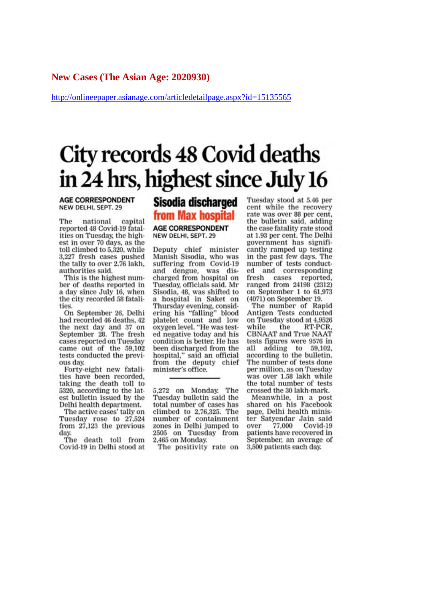#### **New Cases (The Asian Age: 2020930)**

http://onlineepaper.asianage.com/articledetailpage.aspx?id=15135565

## City records 48 Covid deaths in 24 hrs, highest since July 16

**AGE CORRESPONDENT** NEW DELHI, SEPT. 29

capital The national reported 48 Covid-19 fatalities on Tuesday, the highest in over 70 days, as the toll climbed to 5,320, while 3,227 fresh cases pushed<br>the tally to over 2.76 lakh, authorities said.

This is the highest number of deaths reported in a day since July 16, when the city recorded 58 fatalities.

On September 26, Delhi had recorded 46 deaths, 42 the next day and 37 on September 28. The fresh cases reported on Tuesday came out of the 59,102 tests conducted the previous day.

Forty-eight new fatalities have been recorded, taking the death toll to 5320, according to the latest bulletin issued by the Delhi health department.

The active cases' tally on Tuesday rose to 27,524 from 27,123 the previous day.

The death toll from Covid-19 in Delhi stood at

#### **Sisodia discharged** from Max hospital **AGE CORRESPONDENT** NEW DELHI, SEPT. 29

Deputy chief minister<br>Manish Sisodia, who was suffering from Covid-19 and dengue, was discharged from hospital on Tuesday, officials said. Mr Sisodia, 48, was shifted to a hospital in Saket on Thursday evening, considering his "falling" blood platelet count and low oxygen level. "He was tested negative today and his condition is better. He has been discharged from the hospital," said an official from the deputy chief minister's office.

5,272 on Monday. The Tuesday bulletin said the total number of cases has climbed to 2,76,325. The number of containment zones in Delhi jumped to 2505 on Tuesday from 2,465 on Monday.

The positivity rate on

Tuesday stood at 5.46 per cent while the recovery rate was over 88 per cent. the bulletin said, adding the case fatality rate stood at 1.93 per cent. The Delhi government has significantly ramped up testing in the past few days. The number of tests conducted and corresponding fresh cases reported,<br>ranged from 24198 (2312) on September 1 to 61,973  $(4071)$  on September 19.

The number of Rapid Antigen Tests conducted on Tuesday stood at 4,9526 RT-PCR. while the **CBNAAT** and True NAAT tests figures were 9576 in all adding to 59,102. according to the bulletin. The number of tests done per million, as on Tuesday was over 1.58 lakh while the total number of tests crossed the 30 lakh-mark.

Meanwhile, in a post shared on his Facebook page, Delhi health minister Satyendar Jain said over 77,000 Covid-19 patients have recovered in September, an average of 3,500 patients each day.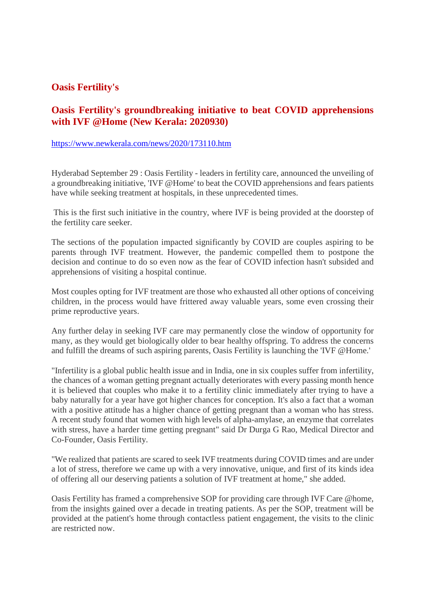#### **Oasis Fertility's**

#### **Oasis Fertility's groundbreaking initiative to beat COVID apprehensions with IVF @Home (New Kerala: 2020930)**

#### https://www.newkerala.com/news/2020/173110.htm

Hyderabad September 29 : Oasis Fertility - leaders in fertility care, announced the unveiling of a groundbreaking initiative, 'IVF @Home' to beat the COVID apprehensions and fears patients have while seeking treatment at hospitals, in these unprecedented times.

This is the first such initiative in the country, where IVF is being provided at the doorstep of the fertility care seeker.

The sections of the population impacted significantly by COVID are couples aspiring to be parents through IVF treatment. However, the pandemic compelled them to postpone the decision and continue to do so even now as the fear of COVID infection hasn't subsided and apprehensions of visiting a hospital continue.

Most couples opting for IVF treatment are those who exhausted all other options of conceiving children, in the process would have frittered away valuable years, some even crossing their prime reproductive years.

Any further delay in seeking IVF care may permanently close the window of opportunity for many, as they would get biologically older to bear healthy offspring. To address the concerns and fulfill the dreams of such aspiring parents, Oasis Fertility is launching the 'IVF @Home.'

"Infertility is a global public health issue and in India, one in six couples suffer from infertility, the chances of a woman getting pregnant actually deteriorates with every passing month hence it is believed that couples who make it to a fertility clinic immediately after trying to have a baby naturally for a year have got higher chances for conception. It's also a fact that a woman with a positive attitude has a higher chance of getting pregnant than a woman who has stress. A recent study found that women with high levels of alpha-amylase, an enzyme that correlates with stress, have a harder time getting pregnant" said Dr Durga G Rao, Medical Director and Co-Founder, Oasis Fertility.

"We realized that patients are scared to seek IVF treatments during COVID times and are under a lot of stress, therefore we came up with a very innovative, unique, and first of its kinds idea of offering all our deserving patients a solution of IVF treatment at home," she added.

Oasis Fertility has framed a comprehensive SOP for providing care through IVF Care @home, from the insights gained over a decade in treating patients. As per the SOP, treatment will be provided at the patient's home through contactless patient engagement, the visits to the clinic are restricted now.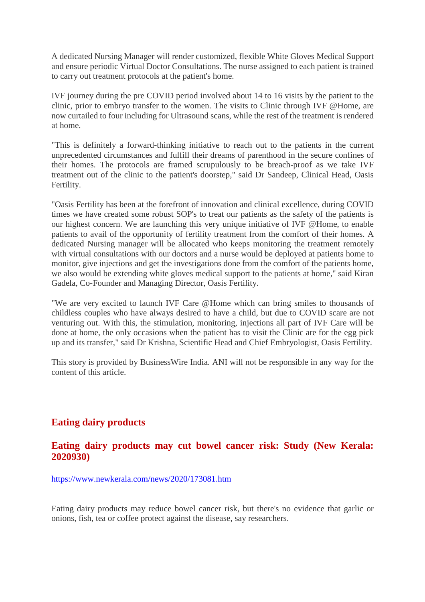A dedicated Nursing Manager will render customized, flexible White Gloves Medical Support and ensure periodic Virtual Doctor Consultations. The nurse assigned to each patient is trained to carry out treatment protocols at the patient's home.

IVF journey during the pre COVID period involved about 14 to 16 visits by the patient to the clinic, prior to embryo transfer to the women. The visits to Clinic through IVF @Home, are now curtailed to four including for Ultrasound scans, while the rest of the treatment is rendered at home.

"This is definitely a forward-thinking initiative to reach out to the patients in the current unprecedented circumstances and fulfill their dreams of parenthood in the secure confines of their homes. The protocols are framed scrupulously to be breach-proof as we take IVF treatment out of the clinic to the patient's doorstep," said Dr Sandeep, Clinical Head, Oasis Fertility.

"Oasis Fertility has been at the forefront of innovation and clinical excellence, during COVID times we have created some robust SOP's to treat our patients as the safety of the patients is our highest concern. We are launching this very unique initiative of IVF @Home, to enable patients to avail of the opportunity of fertility treatment from the comfort of their homes. A dedicated Nursing manager will be allocated who keeps monitoring the treatment remotely with virtual consultations with our doctors and a nurse would be deployed at patients home to monitor, give injections and get the investigations done from the comfort of the patients home, we also would be extending white gloves medical support to the patients at home," said Kiran Gadela, Co-Founder and Managing Director, Oasis Fertility.

"We are very excited to launch IVF Care @Home which can bring smiles to thousands of childless couples who have always desired to have a child, but due to COVID scare are not venturing out. With this, the stimulation, monitoring, injections all part of IVF Care will be done at home, the only occasions when the patient has to visit the Clinic are for the egg pick up and its transfer," said Dr Krishna, Scientific Head and Chief Embryologist, Oasis Fertility.

This story is provided by BusinessWire India. ANI will not be responsible in any way for the content of this article.

#### **Eating dairy products**

#### **Eating dairy products may cut bowel cancer risk: Study (New Kerala: 2020930)**

https://www.newkerala.com/news/2020/173081.htm

Eating dairy products may reduce bowel cancer risk, but there's no evidence that garlic or onions, fish, tea or coffee protect against the disease, say researchers.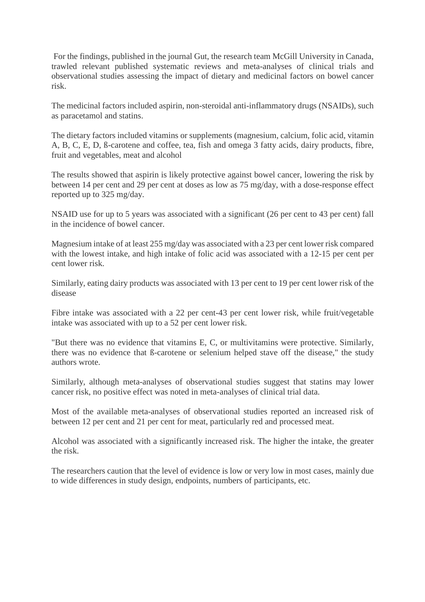For the findings, published in the journal Gut, the research team McGill University in Canada, trawled relevant published systematic reviews and meta-analyses of clinical trials and observational studies assessing the impact of dietary and medicinal factors on bowel cancer risk.

The medicinal factors included aspirin, non-steroidal anti-inflammatory drugs (NSAIDs), such as paracetamol and statins.

The dietary factors included vitamins or supplements (magnesium, calcium, folic acid, vitamin A, B, C, E, D, ß-carotene and coffee, tea, fish and omega 3 fatty acids, dairy products, fibre, fruit and vegetables, meat and alcohol

The results showed that aspirin is likely protective against bowel cancer, lowering the risk by between 14 per cent and 29 per cent at doses as low as 75 mg/day, with a dose-response effect reported up to 325 mg/day.

NSAID use for up to 5 years was associated with a significant (26 per cent to 43 per cent) fall in the incidence of bowel cancer.

Magnesium intake of at least 255 mg/day was associated with a 23 per cent lower risk compared with the lowest intake, and high intake of folic acid was associated with a 12-15 per cent per cent lower risk.

Similarly, eating dairy products was associated with 13 per cent to 19 per cent lower risk of the disease

Fibre intake was associated with a 22 per cent-43 per cent lower risk, while fruit/vegetable intake was associated with up to a 52 per cent lower risk.

"But there was no evidence that vitamins E, C, or multivitamins were protective. Similarly, there was no evidence that ß-carotene or selenium helped stave off the disease," the study authors wrote.

Similarly, although meta-analyses of observational studies suggest that statins may lower cancer risk, no positive effect was noted in meta-analyses of clinical trial data.

Most of the available meta-analyses of observational studies reported an increased risk of between 12 per cent and 21 per cent for meat, particularly red and processed meat.

Alcohol was associated with a significantly increased risk. The higher the intake, the greater the risk.

The researchers caution that the level of evidence is low or very low in most cases, mainly due to wide differences in study design, endpoints, numbers of participants, etc.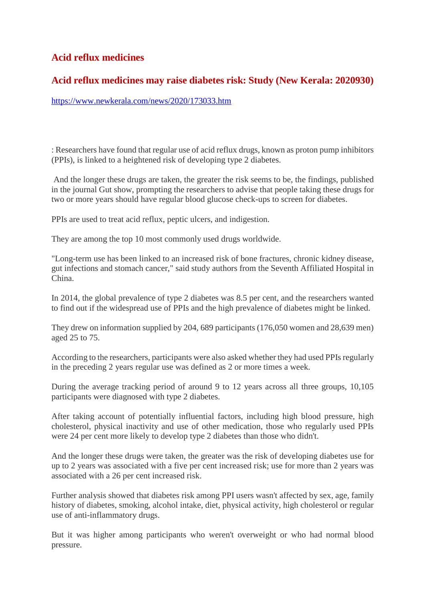#### **Acid reflux medicines**

#### **Acid reflux medicines may raise diabetes risk: Study (New Kerala: 2020930)**

https://www.newkerala.com/news/2020/173033.htm

: Researchers have found that regular use of acid reflux drugs, known as proton pump inhibitors (PPIs), is linked to a heightened risk of developing type 2 diabetes.

And the longer these drugs are taken, the greater the risk seems to be, the findings, published in the journal Gut show, prompting the researchers to advise that people taking these drugs for two or more years should have regular blood glucose check-ups to screen for diabetes.

PPIs are used to treat acid reflux, peptic ulcers, and indigestion.

They are among the top 10 most commonly used drugs worldwide.

"Long-term use has been linked to an increased risk of bone fractures, chronic kidney disease, gut infections and stomach cancer," said study authors from the Seventh Affiliated Hospital in China.

In 2014, the global prevalence of type 2 diabetes was 8.5 per cent, and the researchers wanted to find out if the widespread use of PPIs and the high prevalence of diabetes might be linked.

They drew on information supplied by 204, 689 participants (176,050 women and 28,639 men) aged 25 to 75.

According to the researchers, participants were also asked whether they had used PPIs regularly in the preceding 2 years regular use was defined as 2 or more times a week.

During the average tracking period of around 9 to 12 years across all three groups, 10,105 participants were diagnosed with type 2 diabetes.

After taking account of potentially influential factors, including high blood pressure, high cholesterol, physical inactivity and use of other medication, those who regularly used PPIs were 24 per cent more likely to develop type 2 diabetes than those who didn't.

And the longer these drugs were taken, the greater was the risk of developing diabetes use for up to 2 years was associated with a five per cent increased risk; use for more than 2 years was associated with a 26 per cent increased risk.

Further analysis showed that diabetes risk among PPI users wasn't affected by sex, age, family history of diabetes, smoking, alcohol intake, diet, physical activity, high cholesterol or regular use of anti-inflammatory drugs.

But it was higher among participants who weren't overweight or who had normal blood pressure.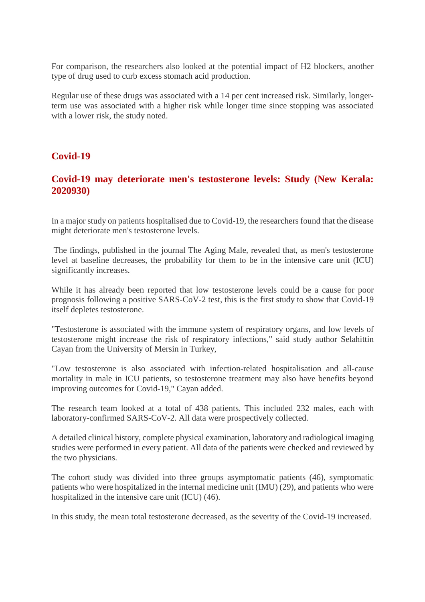For comparison, the researchers also looked at the potential impact of H2 blockers, another type of drug used to curb excess stomach acid production.

Regular use of these drugs was associated with a 14 per cent increased risk. Similarly, longerterm use was associated with a higher risk while longer time since stopping was associated with a lower risk, the study noted.

#### **Covid-19**

#### **Covid-19 may deteriorate men's testosterone levels: Study (New Kerala: 2020930)**

In a major study on patients hospitalised due to Covid-19, the researchers found that the disease might deteriorate men's testosterone levels.

The findings, published in the journal The Aging Male, revealed that, as men's testosterone level at baseline decreases, the probability for them to be in the intensive care unit (ICU) significantly increases.

While it has already been reported that low testosterone levels could be a cause for poor prognosis following a positive SARS-CoV-2 test, this is the first study to show that Covid-19 itself depletes testosterone.

"Testosterone is associated with the immune system of respiratory organs, and low levels of testosterone might increase the risk of respiratory infections," said study author Selahittin Cayan from the University of Mersin in Turkey,

"Low testosterone is also associated with infection-related hospitalisation and all-cause mortality in male in ICU patients, so testosterone treatment may also have benefits beyond improving outcomes for Covid-19," Cayan added.

The research team looked at a total of 438 patients. This included 232 males, each with laboratory-confirmed SARS-CoV-2. All data were prospectively collected.

A detailed clinical history, complete physical examination, laboratory and radiological imaging studies were performed in every patient. All data of the patients were checked and reviewed by the two physicians.

The cohort study was divided into three groups asymptomatic patients (46), symptomatic patients who were hospitalized in the internal medicine unit (IMU) (29), and patients who were hospitalized in the intensive care unit (ICU) (46).

In this study, the mean total testosterone decreased, as the severity of the Covid-19 increased.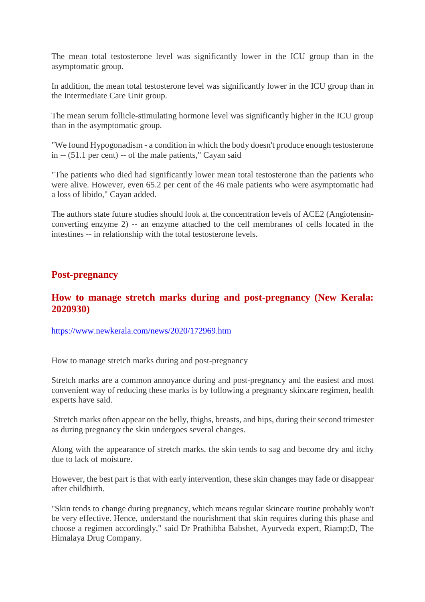The mean total testosterone level was significantly lower in the ICU group than in the asymptomatic group.

In addition, the mean total testosterone level was significantly lower in the ICU group than in the Intermediate Care Unit group.

The mean serum follicle-stimulating hormone level was significantly higher in the ICU group than in the asymptomatic group.

"We found Hypogonadism - a condition in which the body doesn't produce enough testosterone in -- (51.1 per cent) -- of the male patients," Cayan said

"The patients who died had significantly lower mean total testosterone than the patients who were alive. However, even 65.2 per cent of the 46 male patients who were asymptomatic had a loss of libido," Cayan added.

The authors state future studies should look at the concentration levels of ACE2 (Angiotensinconverting enzyme 2) -- an enzyme attached to the cell membranes of cells located in the intestines -- in relationship with the total testosterone levels.

#### **Post-pregnancy**

#### **How to manage stretch marks during and post-pregnancy (New Kerala: 2020930)**

https://www.newkerala.com/news/2020/172969.htm

How to manage stretch marks during and post-pregnancy

Stretch marks are a common annoyance during and post-pregnancy and the easiest and most convenient way of reducing these marks is by following a pregnancy skincare regimen, health experts have said.

Stretch marks often appear on the belly, thighs, breasts, and hips, during their second trimester as during pregnancy the skin undergoes several changes.

Along with the appearance of stretch marks, the skin tends to sag and become dry and itchy due to lack of moisture.

However, the best part is that with early intervention, these skin changes may fade or disappear after childbirth.

"Skin tends to change during pregnancy, which means regular skincare routine probably won't be very effective. Hence, understand the nourishment that skin requires during this phase and choose a regimen accordingly," said Dr Prathibha Babshet, Ayurveda expert, Riamp;D, The Himalaya Drug Company.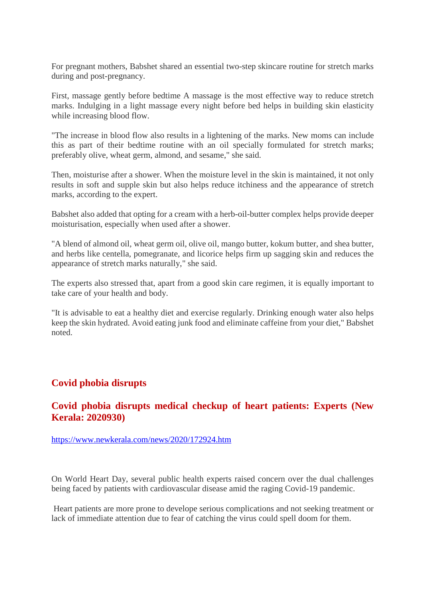For pregnant mothers, Babshet shared an essential two-step skincare routine for stretch marks during and post-pregnancy.

First, massage gently before bedtime A massage is the most effective way to reduce stretch marks. Indulging in a light massage every night before bed helps in building skin elasticity while increasing blood flow.

"The increase in blood flow also results in a lightening of the marks. New moms can include this as part of their bedtime routine with an oil specially formulated for stretch marks; preferably olive, wheat germ, almond, and sesame," she said.

Then, moisturise after a shower. When the moisture level in the skin is maintained, it not only results in soft and supple skin but also helps reduce itchiness and the appearance of stretch marks, according to the expert.

Babshet also added that opting for a cream with a herb-oil-butter complex helps provide deeper moisturisation, especially when used after a shower.

"A blend of almond oil, wheat germ oil, olive oil, mango butter, kokum butter, and shea butter, and herbs like centella, pomegranate, and licorice helps firm up sagging skin and reduces the appearance of stretch marks naturally," she said.

The experts also stressed that, apart from a good skin care regimen, it is equally important to take care of your health and body.

"It is advisable to eat a healthy diet and exercise regularly. Drinking enough water also helps keep the skin hydrated. Avoid eating junk food and eliminate caffeine from your diet," Babshet noted.

#### **Covid phobia disrupts**

#### **Covid phobia disrupts medical checkup of heart patients: Experts (New Kerala: 2020930)**

https://www.newkerala.com/news/2020/172924.htm

On World Heart Day, several public health experts raised concern over the dual challenges being faced by patients with cardiovascular disease amid the raging Covid-19 pandemic.

Heart patients are more prone to develope serious complications and not seeking treatment or lack of immediate attention due to fear of catching the virus could spell doom for them.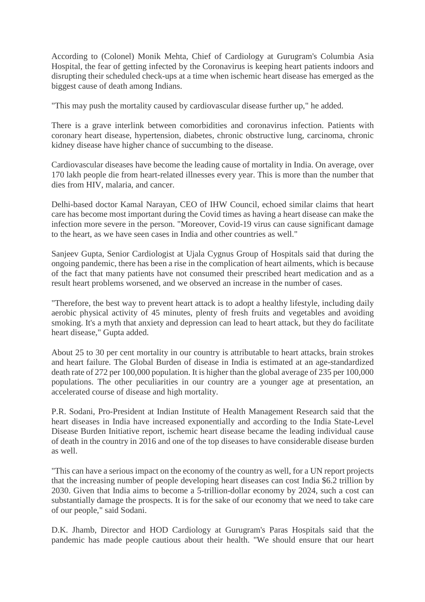According to (Colonel) Monik Mehta, Chief of Cardiology at Gurugram's Columbia Asia Hospital, the fear of getting infected by the Coronavirus is keeping heart patients indoors and disrupting their scheduled check-ups at a time when ischemic heart disease has emerged as the biggest cause of death among Indians.

"This may push the mortality caused by cardiovascular disease further up," he added.

There is a grave interlink between comorbidities and coronavirus infection. Patients with coronary heart disease, hypertension, diabetes, chronic obstructive lung, carcinoma, chronic kidney disease have higher chance of succumbing to the disease.

Cardiovascular diseases have become the leading cause of mortality in India. On average, over 170 lakh people die from heart-related illnesses every year. This is more than the number that dies from HIV, malaria, and cancer.

Delhi-based doctor Kamal Narayan, CEO of IHW Council, echoed similar claims that heart care has become most important during the Covid times as having a heart disease can make the infection more severe in the person. "Moreover, Covid-19 virus can cause significant damage to the heart, as we have seen cases in India and other countries as well."

Sanjeev Gupta, Senior Cardiologist at Ujala Cygnus Group of Hospitals said that during the ongoing pandemic, there has been a rise in the complication of heart ailments, which is because of the fact that many patients have not consumed their prescribed heart medication and as a result heart problems worsened, and we observed an increase in the number of cases.

"Therefore, the best way to prevent heart attack is to adopt a healthy lifestyle, including daily aerobic physical activity of 45 minutes, plenty of fresh fruits and vegetables and avoiding smoking. It's a myth that anxiety and depression can lead to heart attack, but they do facilitate heart disease," Gupta added.

About 25 to 30 per cent mortality in our country is attributable to heart attacks, brain strokes and heart failure. The Global Burden of disease in India is estimated at an age-standardized death rate of 272 per 100,000 population. It is higher than the global average of 235 per 100,000 populations. The other peculiarities in our country are a younger age at presentation, an accelerated course of disease and high mortality.

P.R. Sodani, Pro-President at Indian Institute of Health Management Research said that the heart diseases in India have increased exponentially and according to the India State-Level Disease Burden Initiative report, ischemic heart disease became the leading individual cause of death in the country in 2016 and one of the top diseases to have considerable disease burden as well.

"This can have a serious impact on the economy of the country as well, for a UN report projects that the increasing number of people developing heart diseases can cost India \$6.2 trillion by 2030. Given that India aims to become a 5-trillion-dollar economy by 2024, such a cost can substantially damage the prospects. It is for the sake of our economy that we need to take care of our people," said Sodani.

D.K. Jhamb, Director and HOD Cardiology at Gurugram's Paras Hospitals said that the pandemic has made people cautious about their health. "We should ensure that our heart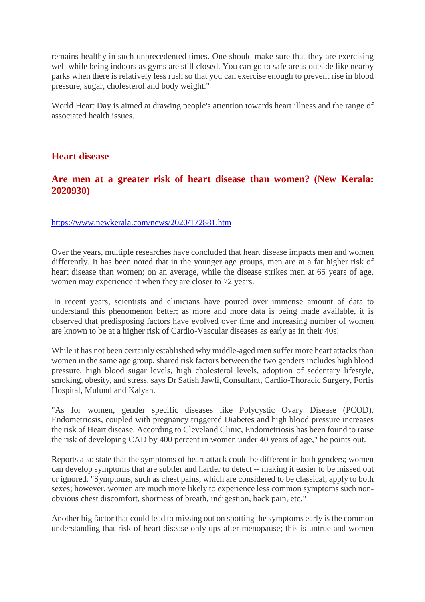remains healthy in such unprecedented times. One should make sure that they are exercising well while being indoors as gyms are still closed. You can go to safe areas outside like nearby parks when there is relatively less rush so that you can exercise enough to prevent rise in blood pressure, sugar, cholesterol and body weight."

World Heart Day is aimed at drawing people's attention towards heart illness and the range of associated health issues.

#### **Heart disease**

#### **Are men at a greater risk of heart disease than women? (New Kerala: 2020930)**

https://www.newkerala.com/news/2020/172881.htm

Over the years, multiple researches have concluded that heart disease impacts men and women differently. It has been noted that in the younger age groups, men are at a far higher risk of heart disease than women; on an average, while the disease strikes men at 65 years of age, women may experience it when they are closer to 72 years.

In recent years, scientists and clinicians have poured over immense amount of data to understand this phenomenon better; as more and more data is being made available, it is observed that predisposing factors have evolved over time and increasing number of women are known to be at a higher risk of Cardio-Vascular diseases as early as in their 40s!

While it has not been certainly established why middle-aged men suffer more heart attacks than women in the same age group, shared risk factors between the two genders includes high blood pressure, high blood sugar levels, high cholesterol levels, adoption of sedentary lifestyle, smoking, obesity, and stress, says Dr Satish Jawli, Consultant, Cardio-Thoracic Surgery, Fortis Hospital, Mulund and Kalyan.

"As for women, gender specific diseases like Polycystic Ovary Disease (PCOD), Endometriosis, coupled with pregnancy triggered Diabetes and high blood pressure increases the risk of Heart disease. According to Cleveland Clinic, Endometriosis has been found to raise the risk of developing CAD by 400 percent in women under 40 years of age," he points out.

Reports also state that the symptoms of heart attack could be different in both genders; women can develop symptoms that are subtler and harder to detect -- making it easier to be missed out or ignored. "Symptoms, such as chest pains, which are considered to be classical, apply to both sexes; however, women are much more likely to experience less common symptoms such nonobvious chest discomfort, shortness of breath, indigestion, back pain, etc."

Another big factor that could lead to missing out on spotting the symptoms early is the common understanding that risk of heart disease only ups after menopause; this is untrue and women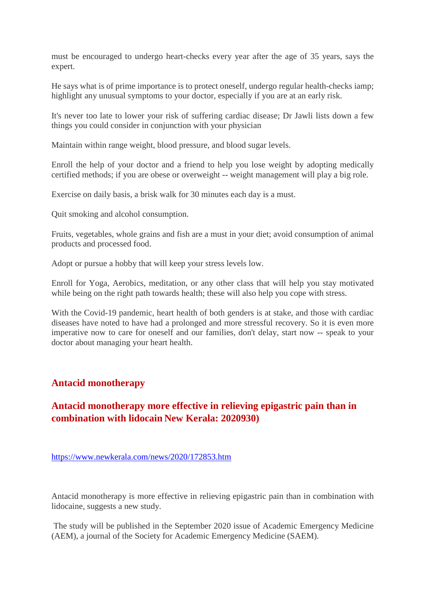must be encouraged to undergo heart-checks every year after the age of 35 years, says the expert.

He says what is of prime importance is to protect oneself, undergo regular health-checks iamp; highlight any unusual symptoms to your doctor, especially if you are at an early risk.

It's never too late to lower your risk of suffering cardiac disease; Dr Jawli lists down a few things you could consider in conjunction with your physician

Maintain within range weight, blood pressure, and blood sugar levels.

Enroll the help of your doctor and a friend to help you lose weight by adopting medically certified methods; if you are obese or overweight -- weight management will play a big role.

Exercise on daily basis, a brisk walk for 30 minutes each day is a must.

Quit smoking and alcohol consumption.

Fruits, vegetables, whole grains and fish are a must in your diet; avoid consumption of animal products and processed food.

Adopt or pursue a hobby that will keep your stress levels low.

Enroll for Yoga, Aerobics, meditation, or any other class that will help you stay motivated while being on the right path towards health; these will also help you cope with stress.

With the Covid-19 pandemic, heart health of both genders is at stake, and those with cardiac diseases have noted to have had a prolonged and more stressful recovery. So it is even more imperative now to care for oneself and our families, don't delay, start now -- speak to your doctor about managing your heart health.

#### **Antacid monotherapy**

#### **Antacid monotherapy more effective in relieving epigastric pain than in combination with lidocain New Kerala: 2020930)**

https://www.newkerala.com/news/2020/172853.htm

Antacid monotherapy is more effective in relieving epigastric pain than in combination with lidocaine, suggests a new study.

The study will be published in the September 2020 issue of Academic Emergency Medicine (AEM), a journal of the Society for Academic Emergency Medicine (SAEM).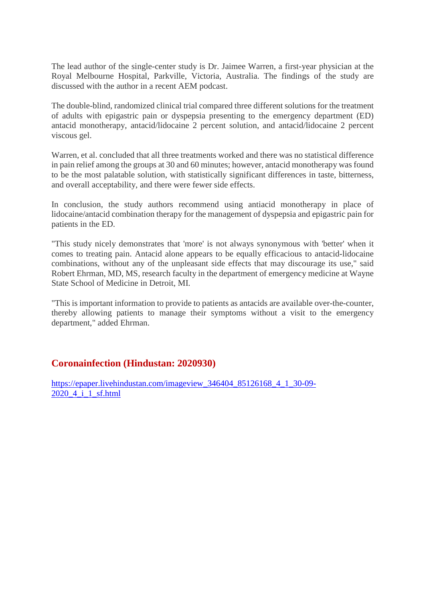The lead author of the single-center study is Dr. Jaimee Warren, a first-year physician at the Royal Melbourne Hospital, Parkville, Victoria, Australia. The findings of the study are discussed with the author in a recent AEM podcast.

The double-blind, randomized clinical trial compared three different solutions for the treatment of adults with epigastric pain or dyspepsia presenting to the emergency department (ED) antacid monotherapy, antacid/lidocaine 2 percent solution, and antacid/lidocaine 2 percent viscous gel.

Warren, et al. concluded that all three treatments worked and there was no statistical difference in pain relief among the groups at 30 and 60 minutes; however, antacid monotherapy was found to be the most palatable solution, with statistically significant differences in taste, bitterness, and overall acceptability, and there were fewer side effects.

In conclusion, the study authors recommend using antiacid monotherapy in place of lidocaine/antacid combination therapy for the management of dyspepsia and epigastric pain for patients in the ED.

"This study nicely demonstrates that 'more' is not always synonymous with 'better' when it comes to treating pain. Antacid alone appears to be equally efficacious to antacid-lidocaine combinations, without any of the unpleasant side effects that may discourage its use," said Robert Ehrman, MD, MS, research faculty in the department of emergency medicine at Wayne State School of Medicine in Detroit, MI.

"This is important information to provide to patients as antacids are available over-the-counter, thereby allowing patients to manage their symptoms without a visit to the emergency department," added Ehrman.

#### **Coronainfection (Hindustan: 2020930)**

https://epaper.livehindustan.com/imageview\_346404\_85126168\_4\_1\_30-09- 2020 4 i 1 sf.html